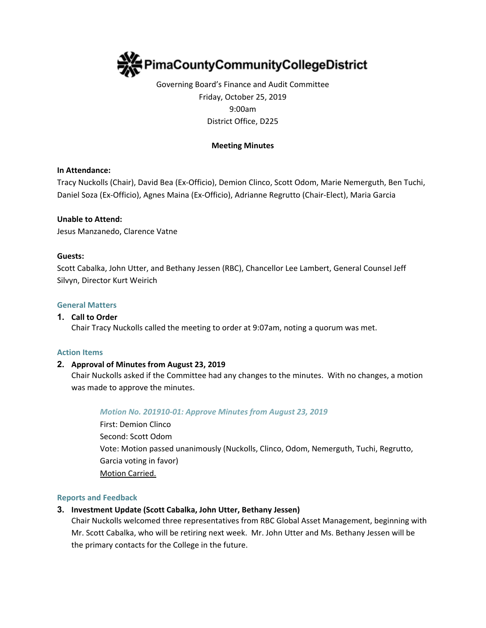

Governing Board's Finance and Audit Committee Friday, October 25, 2019 9:00am District Office, D225

## **Meeting Minutes**

### **In Attendance:**

Tracy Nuckolls (Chair), David Bea (Ex-Officio), Demion Clinco, Scott Odom, Marie Nemerguth, Ben Tuchi, Daniel Soza (Ex-Officio), Agnes Maina (Ex-Officio), Adrianne Regrutto (Chair-Elect), Maria Garcia

#### **Unable to Attend:**

Jesus Manzanedo, Clarence Vatne

#### **Guests:**

Scott Cabalka, John Utter, and Bethany Jessen (RBC), Chancellor Lee Lambert, General Counsel Jeff Silvyn, Director Kurt Weirich

#### **General Matters**

#### **1. Call to Order**

Chair Tracy Nuckolls called the meeting to order at 9:07am, noting a quorum was met.

#### **Action Items**

### **2. Approval of Minutes from August 23, 2019**

Chair Nuckolls asked if the Committee had any changes to the minutes. With no changes, a motion was made to approve the minutes.

#### *Motion No. 201910-01: Approve Minutes from August 23, 2019*

First: Demion Clinco Second: Scott Odom Vote: Motion passed unanimously (Nuckolls, Clinco, Odom, Nemerguth, Tuchi, Regrutto, Garcia voting in favor) Motion Carried.

#### **Reports and Feedback**

## **3. Investment Update (Scott Cabalka, John Utter, Bethany Jessen)**

Chair Nuckolls welcomed three representatives from RBC Global Asset Management, beginning with Mr. Scott Cabalka, who will be retiring next week. Mr. John Utter and Ms. Bethany Jessen will be the primary contacts for the College in the future.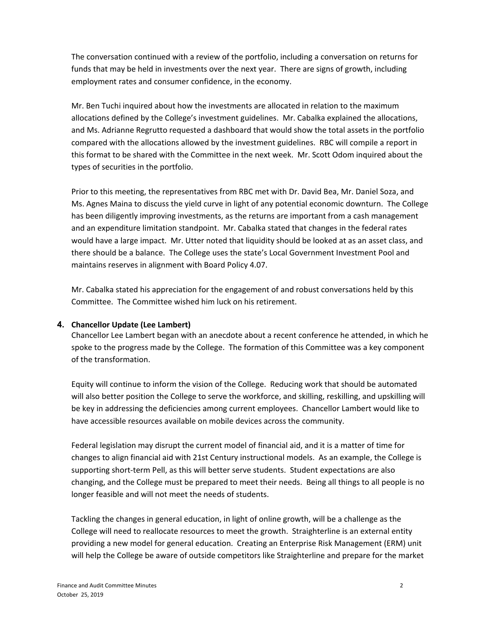The conversation continued with a review of the portfolio, including a conversation on returns for funds that may be held in investments over the next year. There are signs of growth, including employment rates and consumer confidence, in the economy.

Mr. Ben Tuchi inquired about how the investments are allocated in relation to the maximum allocations defined by the College's investment guidelines. Mr. Cabalka explained the allocations, and Ms. Adrianne Regrutto requested a dashboard that would show the total assets in the portfolio compared with the allocations allowed by the investment guidelines. RBC will compile a report in this format to be shared with the Committee in the next week. Mr. Scott Odom inquired about the types of securities in the portfolio.

Prior to this meeting, the representatives from RBC met with Dr. David Bea, Mr. Daniel Soza, and Ms. Agnes Maina to discuss the yield curve in light of any potential economic downturn. The College has been diligently improving investments, as the returns are important from a cash management and an expenditure limitation standpoint. Mr. Cabalka stated that changes in the federal rates would have a large impact. Mr. Utter noted that liquidity should be looked at as an asset class, and there should be a balance. The College uses the state's Local Government Investment Pool and maintains reserves in alignment with Board Policy 4.07.

Mr. Cabalka stated his appreciation for the engagement of and robust conversations held by this Committee. The Committee wished him luck on his retirement.

## **4. Chancellor Update (Lee Lambert)**

Chancellor Lee Lambert began with an anecdote about a recent conference he attended, in which he spoke to the progress made by the College. The formation of this Committee was a key component of the transformation.

Equity will continue to inform the vision of the College. Reducing work that should be automated will also better position the College to serve the workforce, and skilling, reskilling, and upskilling will be key in addressing the deficiencies among current employees. Chancellor Lambert would like to have accessible resources available on mobile devices across the community.

Federal legislation may disrupt the current model of financial aid, and it is a matter of time for changes to align financial aid with 21st Century instructional models. As an example, the College is supporting short-term Pell, as this will better serve students. Student expectations are also changing, and the College must be prepared to meet their needs. Being all things to all people is no longer feasible and will not meet the needs of students.

Tackling the changes in general education, in light of online growth, will be a challenge as the College will need to reallocate resources to meet the growth. Straighterline is an external entity providing a new model for general education. Creating an Enterprise Risk Management (ERM) unit will help the College be aware of outside competitors like Straighterline and prepare for the market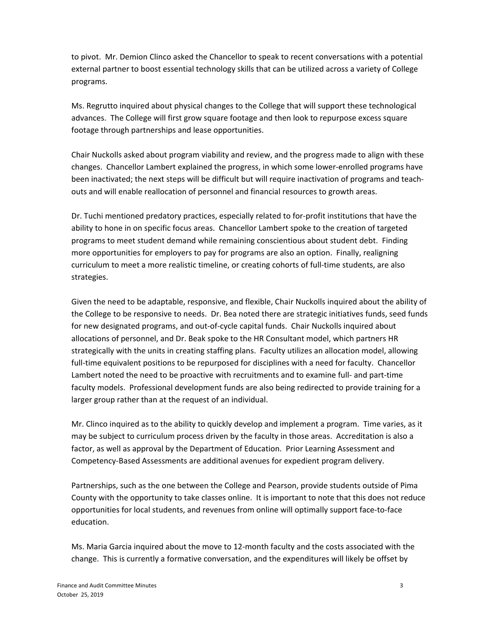to pivot. Mr. Demion Clinco asked the Chancellor to speak to recent conversations with a potential external partner to boost essential technology skills that can be utilized across a variety of College programs.

Ms. Regrutto inquired about physical changes to the College that will support these technological advances. The College will first grow square footage and then look to repurpose excess square footage through partnerships and lease opportunities.

Chair Nuckolls asked about program viability and review, and the progress made to align with these changes. Chancellor Lambert explained the progress, in which some lower-enrolled programs have been inactivated; the next steps will be difficult but will require inactivation of programs and teachouts and will enable reallocation of personnel and financial resources to growth areas.

Dr. Tuchi mentioned predatory practices, especially related to for-profit institutions that have the ability to hone in on specific focus areas. Chancellor Lambert spoke to the creation of targeted programs to meet student demand while remaining conscientious about student debt. Finding more opportunities for employers to pay for programs are also an option. Finally, realigning curriculum to meet a more realistic timeline, or creating cohorts of full-time students, are also strategies.

Given the need to be adaptable, responsive, and flexible, Chair Nuckolls inquired about the ability of the College to be responsive to needs. Dr. Bea noted there are strategic initiatives funds, seed funds for new designated programs, and out-of-cycle capital funds. Chair Nuckolls inquired about allocations of personnel, and Dr. Beak spoke to the HR Consultant model, which partners HR strategically with the units in creating staffing plans. Faculty utilizes an allocation model, allowing full-time equivalent positions to be repurposed for disciplines with a need for faculty. Chancellor Lambert noted the need to be proactive with recruitments and to examine full- and part-time faculty models. Professional development funds are also being redirected to provide training for a larger group rather than at the request of an individual.

Mr. Clinco inquired as to the ability to quickly develop and implement a program. Time varies, as it may be subject to curriculum process driven by the faculty in those areas. Accreditation is also a factor, as well as approval by the Department of Education. Prior Learning Assessment and Competency-Based Assessments are additional avenues for expedient program delivery.

Partnerships, such as the one between the College and Pearson, provide students outside of Pima County with the opportunity to take classes online. It is important to note that this does not reduce opportunities for local students, and revenues from online will optimally support face-to-face education.

Ms. Maria Garcia inquired about the move to 12-month faculty and the costs associated with the change. This is currently a formative conversation, and the expenditures will likely be offset by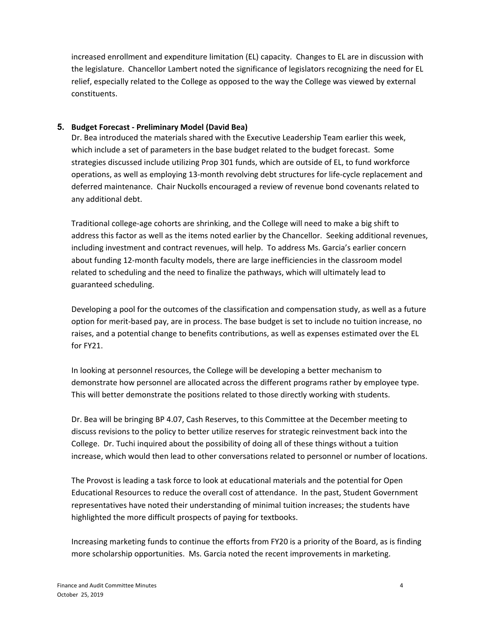increased enrollment and expenditure limitation (EL) capacity. Changes to EL are in discussion with the legislature. Chancellor Lambert noted the significance of legislators recognizing the need for EL relief, especially related to the College as opposed to the way the College was viewed by external constituents.

## **5. Budget Forecast - Preliminary Model (David Bea)**

Dr. Bea introduced the materials shared with the Executive Leadership Team earlier this week, which include a set of parameters in the base budget related to the budget forecast. Some strategies discussed include utilizing Prop 301 funds, which are outside of EL, to fund workforce operations, as well as employing 13-month revolving debt structures for life-cycle replacement and deferred maintenance. Chair Nuckolls encouraged a review of revenue bond covenants related to any additional debt.

Traditional college-age cohorts are shrinking, and the College will need to make a big shift to address this factor as well as the items noted earlier by the Chancellor. Seeking additional revenues, including investment and contract revenues, will help. To address Ms. Garcia's earlier concern about funding 12-month faculty models, there are large inefficiencies in the classroom model related to scheduling and the need to finalize the pathways, which will ultimately lead to guaranteed scheduling.

Developing a pool for the outcomes of the classification and compensation study, as well as a future option for merit-based pay, are in process. The base budget is set to include no tuition increase, no raises, and a potential change to benefits contributions, as well as expenses estimated over the EL for FY21.

In looking at personnel resources, the College will be developing a better mechanism to demonstrate how personnel are allocated across the different programs rather by employee type. This will better demonstrate the positions related to those directly working with students.

Dr. Bea will be bringing BP 4.07, Cash Reserves, to this Committee at the December meeting to discuss revisions to the policy to better utilize reserves for strategic reinvestment back into the College. Dr. Tuchi inquired about the possibility of doing all of these things without a tuition increase, which would then lead to other conversations related to personnel or number of locations.

The Provost is leading a task force to look at educational materials and the potential for Open Educational Resources to reduce the overall cost of attendance. In the past, Student Government representatives have noted their understanding of minimal tuition increases; the students have highlighted the more difficult prospects of paying for textbooks.

Increasing marketing funds to continue the efforts from FY20 is a priority of the Board, as is finding more scholarship opportunities. Ms. Garcia noted the recent improvements in marketing.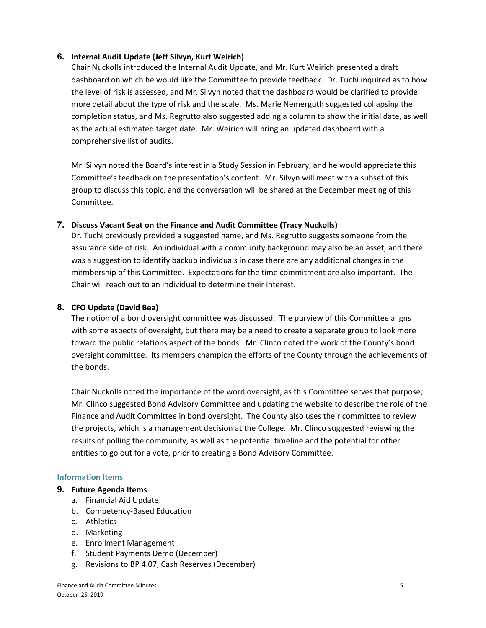## **6. Internal Audit Update (Jeff Silvyn, Kurt Weirich)**

Chair Nuckolls introduced the Internal Audit Update, and Mr. Kurt Weirich presented a draft dashboard on which he would like the Committee to provide feedback. Dr. Tuchi inquired as to how the level of risk is assessed, and Mr. Silvyn noted that the dashboard would be clarified to provide more detail about the type of risk and the scale. Ms. Marie Nemerguth suggested collapsing the completion status, and Ms. Regrutto also suggested adding a column to show the initial date, as well as the actual estimated target date. Mr. Weirich will bring an updated dashboard with a comprehensive list of audits.

Mr. Silvyn noted the Board's interest in a Study Session in February, and he would appreciate this Committee's feedback on the presentation's content. Mr. Silvyn will meet with a subset of this group to discuss this topic, and the conversation will be shared at the December meeting of this Committee.

## **7. Discuss Vacant Seat on the Finance and Audit Committee (Tracy Nuckolls)**

Dr. Tuchi previously provided a suggested name, and Ms. Regrutto suggests someone from the assurance side of risk. An individual with a community background may also be an asset, and there was a suggestion to identify backup individuals in case there are any additional changes in the membership of this Committee. Expectations for the time commitment are also important. The Chair will reach out to an individual to determine their interest.

## **8. CFO Update (David Bea)**

The notion of a bond oversight committee was discussed. The purview of this Committee aligns with some aspects of oversight, but there may be a need to create a separate group to look more toward the public relations aspect of the bonds. Mr. Clinco noted the work of the County's bond oversight committee. Its members champion the efforts of the County through the achievements of the bonds.

Chair Nuckolls noted the importance of the word oversight, as this Committee serves that purpose; Mr. Clinco suggested Bond Advisory Committee and updating the website to describe the role of the Finance and Audit Committee in bond oversight. The County also uses their committee to review the projects, which is a management decision at the College. Mr. Clinco suggested reviewing the results of polling the community, as well as the potential timeline and the potential for other entities to go out for a vote, prior to creating a Bond Advisory Committee.

### **Information Items**

### **9. Future Agenda Items**

- a. Financial Aid Update
- b. Competency-Based Education
- c. Athletics
- d. Marketing
- e. Enrollment Management
- f. Student Payments Demo (December)
- g. Revisions to BP 4.07, Cash Reserves (December)